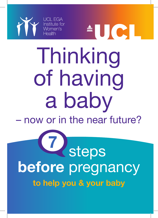

# Thinking of having a baby

for the set of the set of the set of the set of the set of the set of the set of the set of the set of the set of the set of the set of the set of the set of the set of the set of the set of the set of the set of the set o

ICI

– now or in the near future?

## **Steps before** pregnancy **7 to help you & your baby**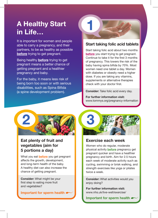### **A Healthy Start in Life…**

It is important for women and people able to carry a pregnancy, and their partners, to be as healthy as possible **before** trying to get pregnant.

Being healthy **before** trying to get pregnant means a better chance of getting pregnant and a healthier pregnancy and baby.

For the baby, it means less risk of being born too soon or with serious disabilities, such as Spina Bifida (a spine development problem).



#### **Start taking folic acid tablets**

Start taking folic acid about two months **before** you start trying to get pregnant. Continue to take it for the first 3 months of pregnancy. This lowers the risk of the baby having spina bifida by 70%. Most women need one tablet a day. Women with diabetes or obesity need a higher dose. If you are taking any vitamins, supplements or alternative therapies check with your doctor first.

**Consider:** Take folic acid every day.

**For further information visit:**  www.tommys.org/pregnancy-information



#### **Eat plenty of fruit and vegetables (aim for 5 portions a day)**

What you eat **before** you get pregnant affects the growth, development, and long-term health of the baby. A healthy diet can also increase the chance of getting pregnant.

**Consider:** What might be your first step to eating more fruit and vegetables?

**Important for sperm health**



#### **Exercise each week**

Women who do regular, moderate physical activity **before** pregnancy get pregnant quicker and have a healthier pregnancy and birth. Aim for 2.5 hours each week of moderate activity such as cycling, swimming or brisk walking, and strength exercises like yoga or pilates twice a week.

**Consider:** What activities would you enjoy doing?

**For further information visit:** www.nhs.uk/live-well/exercise/

**Important for sperm health**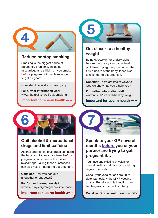

#### **Reduce or stop smoking**

Smoking is the biggest cause of pregnancy problems, including miscarriage and stillbirth. If you smoke **before** pregnancy, it can take longer to get pregnant.

**Consider:** Use a stop smoking app.

**For further information visit:**  www.nhs.uk/live-well/quit-smoking/

#### **Important for sperm health**



#### **Quit alcohol & recreational drugs and limit caffeine**

Alcohol and recreational drugs can harm the baby and too much caffeine **before** pregnancy can increase the risk of miscarriage. Taking these substances can also make it harder to get pregnant.

**Consider:** How you can quit altogether or cut down?

**For further information visit:**  www.tommys.org/pregnancy-information

#### **Important for sperm health**



#### **Get closer to a healthy weight**

Being overweight or underweight **before** pregnancy can cause health problems in pregnancy and affect the future health of the baby. It can also take longer to get pregnant.

**Consider:** There are lots of ways to lose weight, what would help you?

**For further information visit:**  www.nhs.uk/live-well/healthy-weight/

**Important for sperm health**



#### **Speak to your GP several months before you or your partner are trying to get pregnant if…**

You have any existing physical or mental health conditions or are taking regular medications.

Check your vaccinations are up to date, particularly the MMR vaccine against Rubella as this infection can be dangerous to an unborn baby.

**Consider:** Do you need to see your GP?